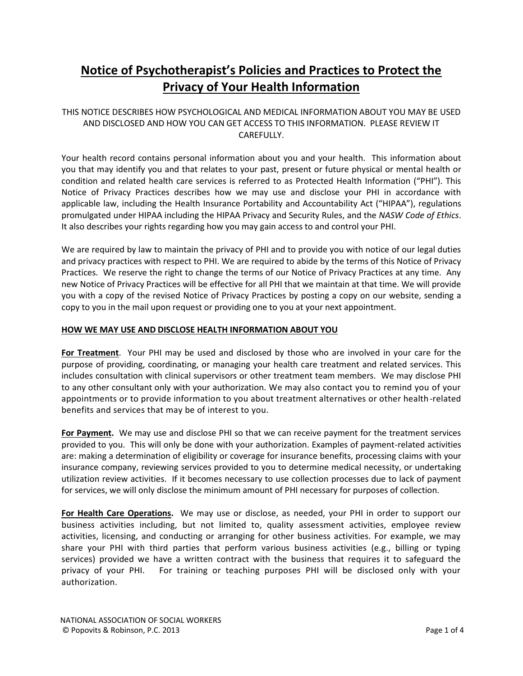# **Notice of Psychotherapist's Policies and Practices to Protect the Privacy of Your Health Information**

## THIS NOTICE DESCRIBES HOW PSYCHOLOGICAL AND MEDICAL INFORMATION ABOUT YOU MAY BE USED AND DISCLOSED AND HOW YOU CAN GET ACCESS TO THIS INFORMATION. PLEASE REVIEW IT CAREFULLY.

Your health record contains personal information about you and your health. This information about you that may identify you and that relates to your past, present or future physical or mental health or condition and related health care services is referred to as Protected Health Information ("PHI"). This Notice of Privacy Practices describes how we may use and disclose your PHI in accordance with applicable law, including the Health Insurance Portability and Accountability Act ("HIPAA"), regulations promulgated under HIPAA including the HIPAA Privacy and Security Rules, and the *NASW Code of Ethics*. It also describes your rights regarding how you may gain access to and control your PHI.

We are required by law to maintain the privacy of PHI and to provide you with notice of our legal duties and privacy practices with respect to PHI. We are required to abide by the terms of this Notice of Privacy Practices. We reserve the right to change the terms of our Notice of Privacy Practices at any time. Any new Notice of Privacy Practices will be effective for all PHI that we maintain at that time. We will provide you with a copy of the revised Notice of Privacy Practices by posting a copy on our website, sending a copy to you in the mail upon request or providing one to you at your next appointment.

#### **HOW WE MAY USE AND DISCLOSE HEALTH INFORMATION ABOUT YOU**

**For Treatment**.Your PHI may be used and disclosed by those who are involved in your care for the purpose of providing, coordinating, or managing your health care treatment and related services. This includes consultation with clinical supervisors or other treatment team members. We may disclose PHI to any other consultant only with your authorization. We may also contact you to remind you of your appointments or to provide information to you about treatment alternatives or other health-related benefits and services that may be of interest to you.

**For Payment.** We may use and disclose PHI so that we can receive payment for the treatment services provided to you. This will only be done with your authorization. Examples of payment-related activities are: making a determination of eligibility or coverage for insurance benefits, processing claims with your insurance company, reviewing services provided to you to determine medical necessity, or undertaking utilization review activities. If it becomes necessary to use collection processes due to lack of payment for services, we will only disclose the minimum amount of PHI necessary for purposes of collection.

**For Health Care Operations.** We may use or disclose, as needed, your PHI in order to support our business activities including, but not limited to, quality assessment activities, employee review activities, licensing, and conducting or arranging for other business activities. For example, we may share your PHI with third parties that perform various business activities (e.g., billing or typing services) provided we have a written contract with the business that requires it to safeguard the privacy of your PHI. For training or teaching purposes PHI will be disclosed only with your authorization.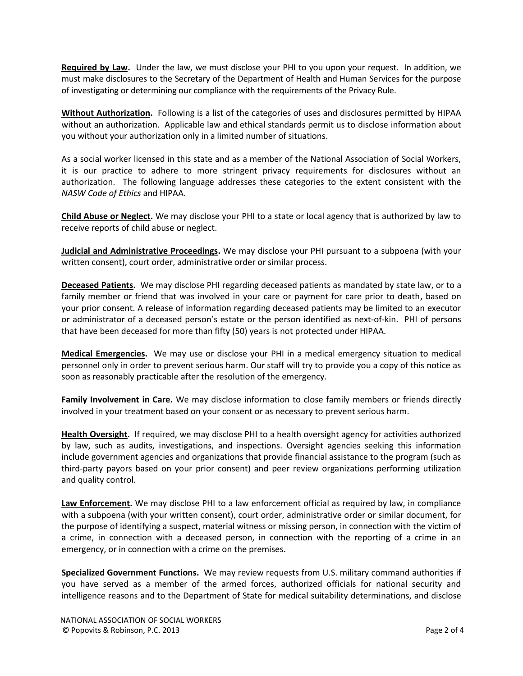**Required by Law.** Under the law, we must disclose your PHI to you upon your request. In addition, we must make disclosures to the Secretary of the Department of Health and Human Services for the purpose of investigating or determining our compliance with the requirements of the Privacy Rule.

**Without Authorization.** Following is a list of the categories of uses and disclosures permitted by HIPAA without an authorization. Applicable law and ethical standards permit us to disclose information about you without your authorization only in a limited number of situations.

As a social worker licensed in this state and as a member of the National Association of Social Workers, it is our practice to adhere to more stringent privacy requirements for disclosures without an authorization.The following language addresses these categories to the extent consistent with the *NASW Code of Ethics* and HIPAA.

**Child Abuse or Neglect.** We may disclose your PHI to a state or local agency that is authorized by law to receive reports of child abuse or neglect.

**Judicial and Administrative Proceedings.** We may disclose your PHI pursuant to a subpoena (with your written consent), court order, administrative order or similar process.

**Deceased Patients.** We may disclose PHI regarding deceased patients as mandated by state law, or to a family member or friend that was involved in your care or payment for care prior to death, based on your prior consent. A release of information regarding deceased patients may be limited to an executor or administrator of a deceased person's estate or the person identified as next-of-kin. PHI of persons that have been deceased for more than fifty (50) years is not protected under HIPAA.

**Medical Emergencies.** We may use or disclose your PHI in a medical emergency situation to medical personnel only in order to prevent serious harm. Our staff will try to provide you a copy of this notice as soon as reasonably practicable after the resolution of the emergency.

**Family Involvement in Care.** We may disclose information to close family members or friends directly involved in your treatment based on your consent or as necessary to prevent serious harm.

**Health Oversight.** If required, we may disclose PHI to a health oversight agency for activities authorized by law, such as audits, investigations, and inspections. Oversight agencies seeking this information include government agencies and organizations that provide financial assistance to the program (such as third-party payors based on your prior consent) and peer review organizations performing utilization and quality control.

**Law Enforcement.** We may disclose PHI to a law enforcement official as required by law, in compliance with a subpoena (with your written consent), court order, administrative order or similar document, for the purpose of identifying a suspect, material witness or missing person, in connection with the victim of a crime, in connection with a deceased person, in connection with the reporting of a crime in an emergency, or in connection with a crime on the premises.

**Specialized Government Functions.** We may review requests from U.S. military command authorities if you have served as a member of the armed forces, authorized officials for national security and intelligence reasons and to the Department of State for medical suitability determinations, and disclose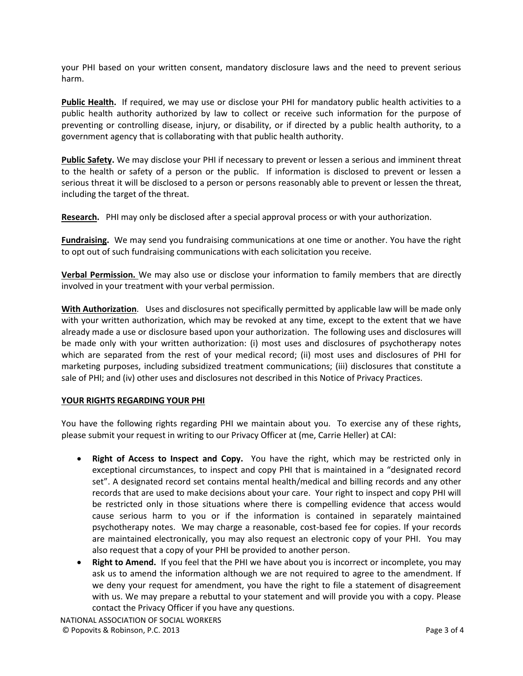your PHI based on your written consent, mandatory disclosure laws and the need to prevent serious harm.

**Public Health.** If required, we may use or disclose your PHI for mandatory public health activities to a public health authority authorized by law to collect or receive such information for the purpose of preventing or controlling disease, injury, or disability, or if directed by a public health authority, to a government agency that is collaborating with that public health authority.

**Public Safety.** We may disclose your PHI if necessary to prevent or lessen a serious and imminent threat to the health or safety of a person or the public. If information is disclosed to prevent or lessen a serious threat it will be disclosed to a person or persons reasonably able to prevent or lessen the threat, including the target of the threat.

**Research.** PHI may only be disclosed after a special approval process or with your authorization.

**Fundraising.** We may send you fundraising communications at one time or another. You have the right to opt out of such fundraising communications with each solicitation you receive.

**Verbal Permission.** We may also use or disclose your information to family members that are directly involved in your treatment with your verbal permission.

**With Authorization**. Uses and disclosures not specifically permitted by applicable law will be made only with your written authorization, which may be revoked at any time, except to the extent that we have already made a use or disclosure based upon your authorization. The following uses and disclosures will be made only with your written authorization: (i) most uses and disclosures of psychotherapy notes which are separated from the rest of your medical record; (ii) most uses and disclosures of PHI for marketing purposes, including subsidized treatment communications; (iii) disclosures that constitute a sale of PHI; and (iv) other uses and disclosures not described in this Notice of Privacy Practices.

### **YOUR RIGHTS REGARDING YOUR PHI**

You have the following rights regarding PHI we maintain about you. To exercise any of these rights, please submit your request in writing to our Privacy Officer at (me, Carrie Heller) at CAI:

- **Right of Access to Inspect and Copy.** You have the right, which may be restricted only in exceptional circumstances, to inspect and copy PHI that is maintained in a "designated record set". A designated record set contains mental health/medical and billing records and any other records that are used to make decisions about your care. Your right to inspect and copy PHI will be restricted only in those situations where there is compelling evidence that access would cause serious harm to you or if the information is contained in separately maintained psychotherapy notes. We may charge a reasonable, cost-based fee for copies. If your records are maintained electronically, you may also request an electronic copy of your PHI. You may also request that a copy of your PHI be provided to another person.
- **Right to Amend.** If you feel that the PHI we have about you is incorrect or incomplete, you may ask us to amend the information although we are not required to agree to the amendment. If we deny your request for amendment, you have the right to file a statement of disagreement with us. We may prepare a rebuttal to your statement and will provide you with a copy. Please contact the Privacy Officer if you have any questions.